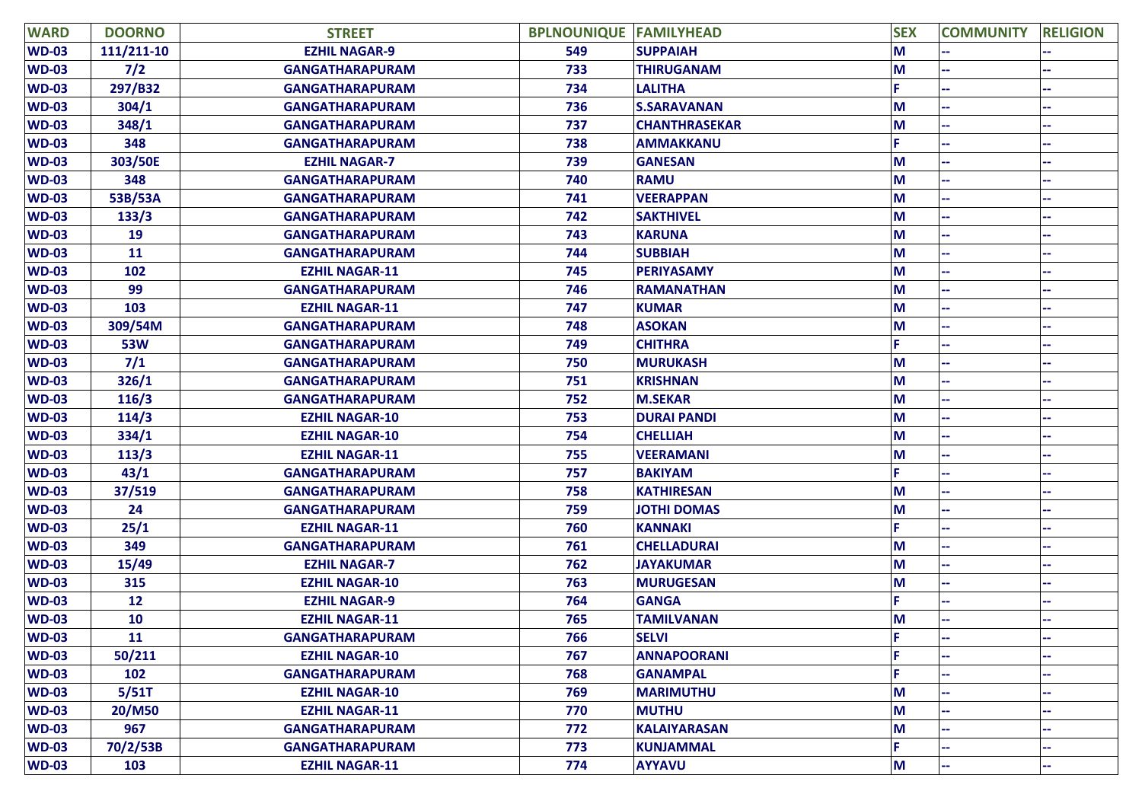| <b>WARD</b>  | <b>DOORNO</b> | <b>STREET</b>          | <b>BPLNOUNIQUE FAMILYHEAD</b> |                      | <b>SEX</b> | <b>COMMUNITY</b> | <b>RELIGION</b> |
|--------------|---------------|------------------------|-------------------------------|----------------------|------------|------------------|-----------------|
| <b>WD-03</b> | 111/211-10    | <b>EZHIL NAGAR-9</b>   | 549                           | <b>SUPPAIAH</b>      | M          |                  |                 |
| <b>WD-03</b> | 7/2           | <b>GANGATHARAPURAM</b> | 733                           | <b>THIRUGANAM</b>    | M          |                  |                 |
| <b>WD-03</b> | 297/B32       | <b>GANGATHARAPURAM</b> | 734                           | <b>LALITHA</b>       | E.         |                  |                 |
| <b>WD-03</b> | 304/1         | <b>GANGATHARAPURAM</b> | 736                           | <b>S.SARAVANAN</b>   | M          |                  |                 |
| <b>WD-03</b> | 348/1         | <b>GANGATHARAPURAM</b> | 737                           | <b>CHANTHRASEKAR</b> | M          |                  |                 |
| <b>WD-03</b> | 348           | <b>GANGATHARAPURAM</b> | 738                           | <b>AMMAKKANU</b>     | F.         |                  |                 |
| <b>WD-03</b> | 303/50E       | <b>EZHIL NAGAR-7</b>   | 739                           | <b>GANESAN</b>       | M          |                  |                 |
| <b>WD-03</b> | 348           | <b>GANGATHARAPURAM</b> | 740                           | <b>RAMU</b>          | M          |                  |                 |
| <b>WD-03</b> | 53B/53A       | <b>GANGATHARAPURAM</b> | 741                           | <b>VEERAPPAN</b>     | M          |                  |                 |
| <b>WD-03</b> | 133/3         | <b>GANGATHARAPURAM</b> | 742                           | <b>SAKTHIVEL</b>     | M          |                  |                 |
| <b>WD-03</b> | 19            | <b>GANGATHARAPURAM</b> | 743                           | <b>KARUNA</b>        | M          |                  |                 |
| <b>WD-03</b> | 11            | <b>GANGATHARAPURAM</b> | 744                           | <b>SUBBIAH</b>       | M          |                  |                 |
| <b>WD-03</b> | 102           | <b>EZHIL NAGAR-11</b>  | 745                           | <b>PERIYASAMY</b>    | M          |                  |                 |
| <b>WD-03</b> | 99            | <b>GANGATHARAPURAM</b> | 746                           | <b>RAMANATHAN</b>    | M          |                  |                 |
| <b>WD-03</b> | 103           | <b>EZHIL NAGAR-11</b>  | 747                           | <b>KUMAR</b>         | M          |                  |                 |
| <b>WD-03</b> | 309/54M       | <b>GANGATHARAPURAM</b> | 748                           | <b>ASOKAN</b>        | M          |                  |                 |
| <b>WD-03</b> | <b>53W</b>    | <b>GANGATHARAPURAM</b> | 749                           | <b>CHITHRA</b>       | E.         |                  |                 |
| <b>WD-03</b> | $7/1$         | <b>GANGATHARAPURAM</b> | 750                           | <b>MURUKASH</b>      | M          |                  |                 |
| <b>WD-03</b> | 326/1         | <b>GANGATHARAPURAM</b> | 751                           | <b>KRISHNAN</b>      | M          |                  |                 |
| <b>WD-03</b> | 116/3         | <b>GANGATHARAPURAM</b> | 752                           | <b>M.SEKAR</b>       | M          |                  |                 |
| <b>WD-03</b> | 114/3         | <b>EZHIL NAGAR-10</b>  | 753                           | <b>DURAI PANDI</b>   | M          |                  |                 |
| <b>WD-03</b> | 334/1         | <b>EZHIL NAGAR-10</b>  | 754                           | <b>CHELLIAH</b>      | M          |                  |                 |
| <b>WD-03</b> | 113/3         | <b>EZHIL NAGAR-11</b>  | 755                           | <b>VEERAMANI</b>     | M          |                  |                 |
| <b>WD-03</b> | 43/1          | <b>GANGATHARAPURAM</b> | 757                           | <b>BAKIYAM</b>       | C.         |                  |                 |
| <b>WD-03</b> | 37/519        | <b>GANGATHARAPURAM</b> | 758                           | <b>KATHIRESAN</b>    | M          |                  |                 |
| <b>WD-03</b> | 24            | <b>GANGATHARAPURAM</b> | 759                           | <b>JOTHI DOMAS</b>   | M          |                  |                 |
| <b>WD-03</b> | 25/1          | <b>EZHIL NAGAR-11</b>  | 760                           | <b>KANNAKI</b>       | p.         |                  |                 |
| <b>WD-03</b> | 349           | <b>GANGATHARAPURAM</b> | 761                           | <b>CHELLADURAI</b>   | M          |                  |                 |
| <b>WD-03</b> | 15/49         | <b>EZHIL NAGAR-7</b>   | 762                           | <b>JAYAKUMAR</b>     | M          |                  |                 |
| <b>WD-03</b> | 315           | <b>EZHIL NAGAR-10</b>  | 763                           | <b>MURUGESAN</b>     | M          |                  |                 |
| <b>WD-03</b> | 12            | <b>EZHIL NAGAR-9</b>   | 764                           | <b>GANGA</b>         |            |                  |                 |
| <b>WD-03</b> | 10            | <b>EZHIL NAGAR-11</b>  | 765                           | <b>TAMILVANAN</b>    | M          |                  |                 |
| <b>WD-03</b> | 11            | <b>GANGATHARAPURAM</b> | 766                           | <b>SELVI</b>         | F          |                  |                 |
| <b>WD-03</b> | 50/211        | <b>EZHIL NAGAR-10</b>  | 767                           | <b>ANNAPOORANI</b>   | E.         |                  |                 |
| <b>WD-03</b> | 102           | <b>GANGATHARAPURAM</b> | 768                           | <b>GANAMPAL</b>      |            |                  |                 |
| <b>WD-03</b> | 5/51T         | <b>EZHIL NAGAR-10</b>  | 769                           | <b>MARIMUTHU</b>     | M          |                  |                 |
| <b>WD-03</b> | 20/M50        | <b>EZHIL NAGAR-11</b>  | 770                           | <b>MUTHU</b>         | M          |                  |                 |
| <b>WD-03</b> | 967           | <b>GANGATHARAPURAM</b> | 772                           | <b>KALAIYARASAN</b>  | M          |                  |                 |
| <b>WD-03</b> | 70/2/53B      | <b>GANGATHARAPURAM</b> | 773                           | <b>KUNJAMMAL</b>     | с.         |                  |                 |
| <b>WD-03</b> | 103           | <b>EZHIL NAGAR-11</b>  | 774                           | <b>AYYAVU</b>        | M          |                  |                 |